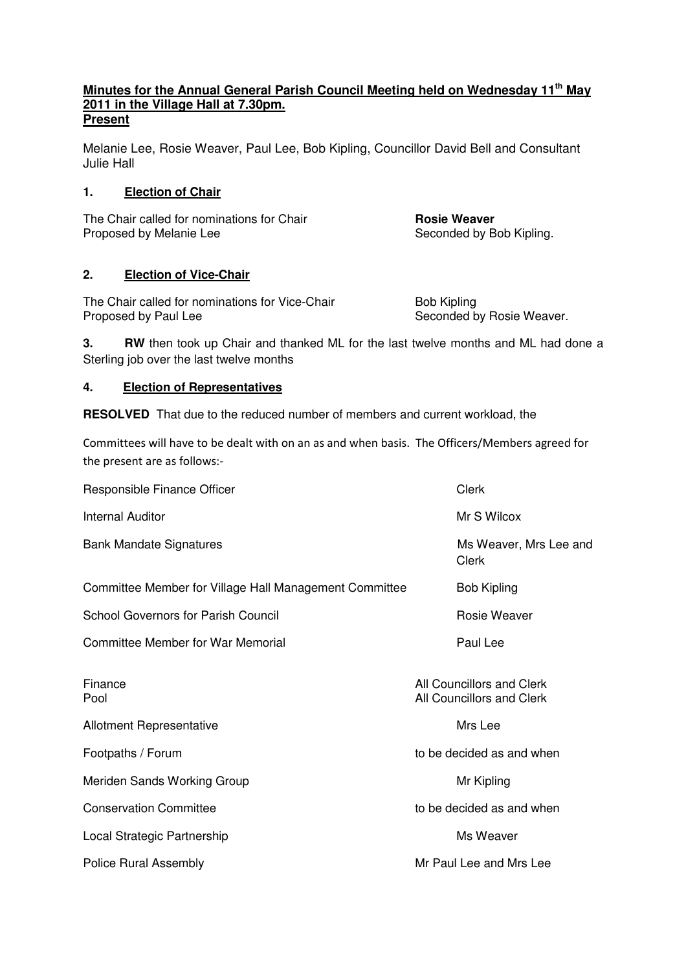#### **Minutes for the Annual General Parish Council Meeting held on Wednesday 11th May 2011 in the Village Hall at 7.30pm. Present**

Melanie Lee, Rosie Weaver, Paul Lee, Bob Kipling, Councillor David Bell and Consultant Julie Hall

#### **1. Election of Chair**

The Chair called for nominations for Chair **Rosie Weaver**<br> **Rosie Weaver**<br> **Rosie Weaver**<br> **Rosie Weaver** 

Seconded by Bob Kipling.

## **2. Election of Vice-Chair**

The Chair called for nominations for Vice-Chair Bob Kipling Proposed by Paul Lee Seconded by Rosie Weaver.

**3. RW** then took up Chair and thanked ML for the last twelve months and ML had done a Sterling job over the last twelve months

## **4. Election of Representatives**

**RESOLVED** That due to the reduced number of members and current workload, the

Committees will have to be dealt with on an as and when basis. The Officers/Members agreed for the present are as follows:-

| Responsible Finance Officer                            | Clerk                                                  |
|--------------------------------------------------------|--------------------------------------------------------|
| <b>Internal Auditor</b>                                | Mr S Wilcox                                            |
| <b>Bank Mandate Signatures</b>                         | Ms Weaver, Mrs Lee and<br>Clerk                        |
| Committee Member for Village Hall Management Committee | <b>Bob Kipling</b>                                     |
| <b>School Governors for Parish Council</b>             | Rosie Weaver                                           |
| <b>Committee Member for War Memorial</b>               | Paul Lee                                               |
| Finance<br>Pool                                        | All Councillors and Clerk<br>All Councillors and Clerk |
| <b>Allotment Representative</b>                        | Mrs Lee                                                |
| Footpaths / Forum                                      | to be decided as and when                              |
| Meriden Sands Working Group                            | Mr Kipling                                             |
| <b>Conservation Committee</b>                          | to be decided as and when                              |
| Local Strategic Partnership                            | Ms Weaver                                              |
| <b>Police Rural Assembly</b>                           | Mr Paul Lee and Mrs Lee                                |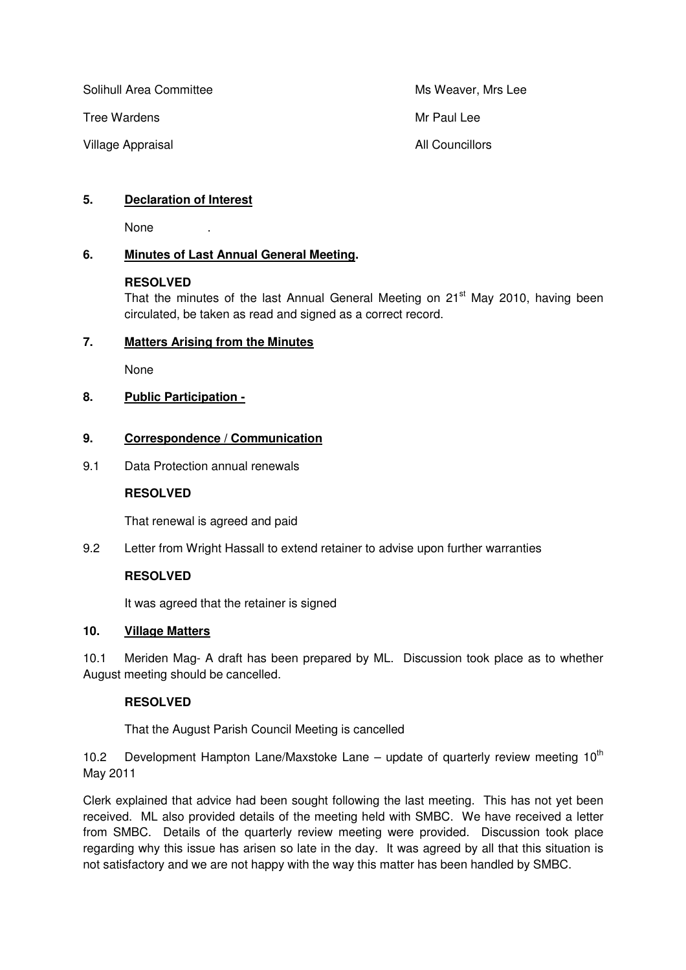Solihull Area Committee Ms Weaver, Mrs Lee

Tree Wardens Manual Lee National Accounts Mr Paul Lee

Village Appraisal **All Councillors All Councillors** 

# **5. Declaration of Interest**

None .

# **6. Minutes of Last Annual General Meeting.**

#### **RESOLVED**

That the minutes of the last Annual General Meeting on  $21<sup>st</sup>$  May 2010, having been circulated, be taken as read and signed as a correct record.

## **7. Matters Arising from the Minutes**

None

# **8. Public Participation -**

## **9. Correspondence / Communication**

9.1 Data Protection annual renewals

## **RESOLVED**

That renewal is agreed and paid

9.2 Letter from Wright Hassall to extend retainer to advise upon further warranties

## **RESOLVED**

It was agreed that the retainer is signed

## **10. Village Matters**

10.1 Meriden Mag- A draft has been prepared by ML. Discussion took place as to whether August meeting should be cancelled.

## **RESOLVED**

That the August Parish Council Meeting is cancelled

10.2 Development Hampton Lane/Maxstoke Lane – update of quarterly review meeting  $10^{th}$ May 2011

Clerk explained that advice had been sought following the last meeting. This has not yet been received. ML also provided details of the meeting held with SMBC. We have received a letter from SMBC. Details of the quarterly review meeting were provided. Discussion took place regarding why this issue has arisen so late in the day. It was agreed by all that this situation is not satisfactory and we are not happy with the way this matter has been handled by SMBC.